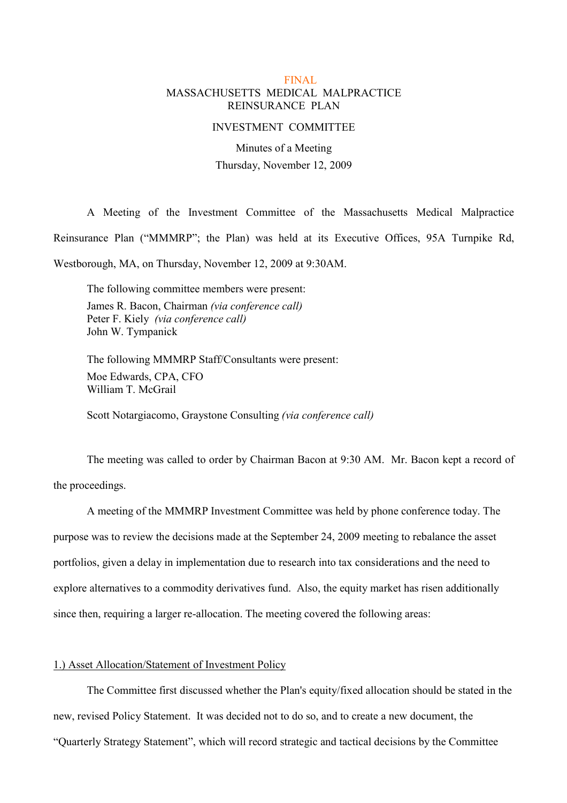## FINAL MASSACHUSETTS MEDICAL MALPRACTICE REINSURANCE PLAN

#### INVESTMENT COMMITTEE

Minutes of a Meeting Thursday, November 12, 2009

A Meeting of the Investment Committee of the Massachusetts Medical Malpractice Reinsurance Plan ("MMMRP"; the Plan) was held at its Executive Offices, 95A Turnpike Rd, Westborough, MA, on Thursday, November 12, 2009 at 9:30AM.

The following committee members were present: James R. Bacon, Chairman (via conference call) Peter F. Kiely (via conference call) John W. Tympanick

The following MMMRP Staff/Consultants were present: Moe Edwards, CPA, CFO William T. McGrail

Scott Notargiacomo, Graystone Consulting (via conference call)

The meeting was called to order by Chairman Bacon at 9:30 AM. Mr. Bacon kept a record of the proceedings.

A meeting of the MMMRP Investment Committee was held by phone conference today. The purpose was to review the decisions made at the September 24, 2009 meeting to rebalance the asset portfolios, given a delay in implementation due to research into tax considerations and the need to explore alternatives to a commodity derivatives fund. Also, the equity market has risen additionally since then, requiring a larger re-allocation. The meeting covered the following areas:

## 1.) Asset Allocation/Statement of Investment Policy

The Committee first discussed whether the Plan's equity/fixed allocation should be stated in the new, revised Policy Statement. It was decided not to do so, and to create a new document, the ìQuarterly Strategy Statementî, which will record strategic and tactical decisions by the Committee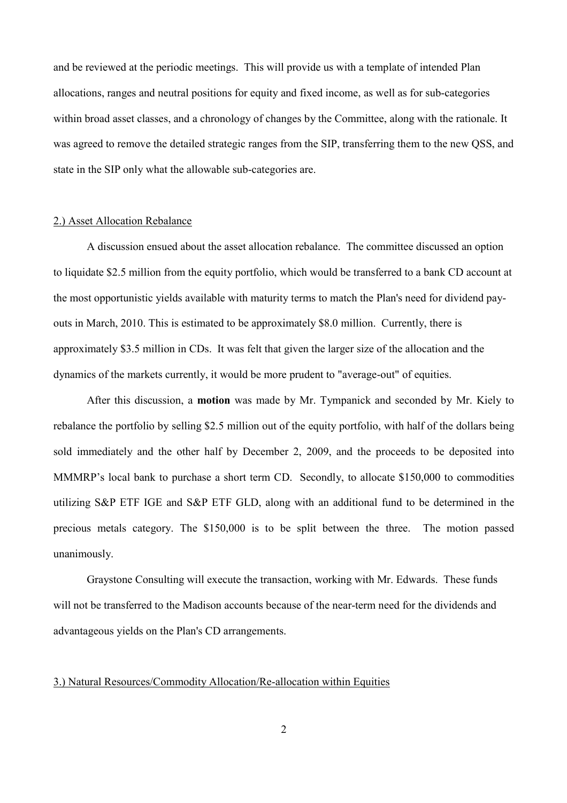and be reviewed at the periodic meetings. This will provide us with a template of intended Plan allocations, ranges and neutral positions for equity and fixed income, as well as for sub-categories within broad asset classes, and a chronology of changes by the Committee, along with the rationale. It was agreed to remove the detailed strategic ranges from the SIP, transferring them to the new QSS, and state in the SIP only what the allowable sub-categories are.

### 2.) Asset Allocation Rebalance

A discussion ensued about the asset allocation rebalance. The committee discussed an option to liquidate \$2.5 million from the equity portfolio, which would be transferred to a bank CD account at the most opportunistic yields available with maturity terms to match the Plan's need for dividend payouts in March, 2010. This is estimated to be approximately \$8.0 million. Currently, there is approximately \$3.5 million in CDs. It was felt that given the larger size of the allocation and the dynamics of the markets currently, it would be more prudent to "average-out" of equities.

After this discussion, a **motion** was made by Mr. Tympanick and seconded by Mr. Kiely to rebalance the portfolio by selling \$2.5 million out of the equity portfolio, with half of the dollars being sold immediately and the other half by December 2, 2009, and the proceeds to be deposited into MMMRP's local bank to purchase a short term CD. Secondly, to allocate \$150,000 to commodities utilizing S&P ETF IGE and S&P ETF GLD, along with an additional fund to be determined in the precious metals category. The \$150,000 is to be split between the three. The motion passed unanimously.

Graystone Consulting will execute the transaction, working with Mr. Edwards. These funds will not be transferred to the Madison accounts because of the near-term need for the dividends and advantageous yields on the Plan's CD arrangements.

# 3.) Natural Resources/Commodity Allocation/Re-allocation within Equities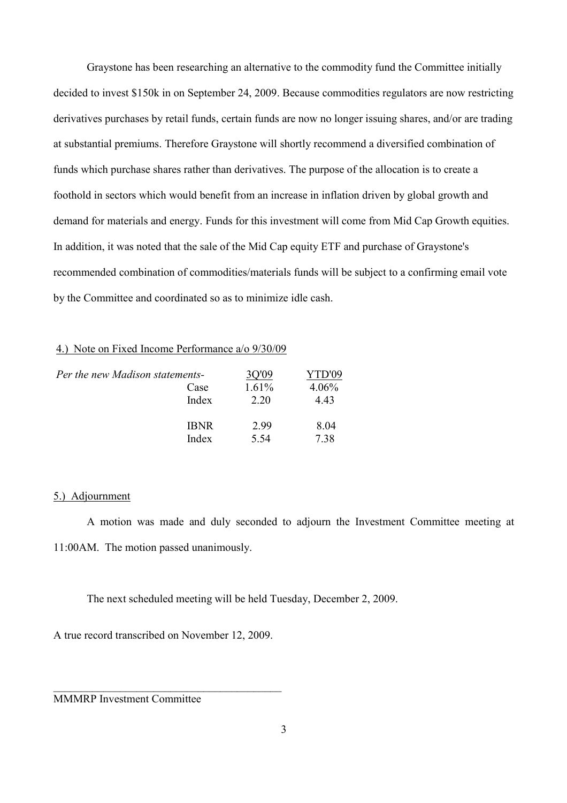Graystone has been researching an alternative to the commodity fund the Committee initially decided to invest \$150k in on September 24, 2009. Because commodities regulators are now restricting derivatives purchases by retail funds, certain funds are now no longer issuing shares, and/or are trading at substantial premiums. Therefore Graystone will shortly recommend a diversified combination of funds which purchase shares rather than derivatives. The purpose of the allocation is to create a foothold in sectors which would benefit from an increase in inflation driven by global growth and demand for materials and energy. Funds for this investment will come from Mid Cap Growth equities. In addition, it was noted that the sale of the Mid Cap equity ETF and purchase of Graystone's recommended combination of commodities/materials funds will be subject to a confirming email vote by the Committee and coordinated so as to minimize idle cash.

### 4.) Note on Fixed Income Performance a/o 9/30/09

| Per the new Madison statements- |             | 30'09 | YTD'09 |
|---------------------------------|-------------|-------|--------|
|                                 | Case        | 1.61% | 4.06%  |
|                                 | Index       | 2 20  | 443    |
|                                 | <b>IBNR</b> | 299   | 8.04   |
|                                 | Index       | 5.54  | 738    |

## 5.) Adjournment

A motion was made and duly seconded to adjourn the Investment Committee meeting at 11:00AM. The motion passed unanimously.

The next scheduled meeting will be held Tuesday, December 2, 2009.

A true record transcribed on November 12, 2009.

 $\mathcal{L}_\text{max}$ 

MMMRP Investment Committee